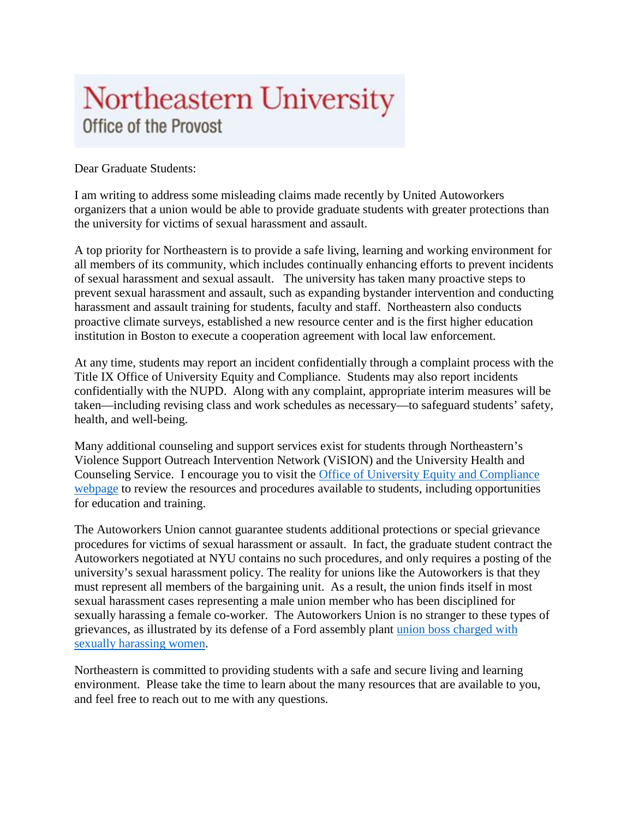## Northeastern University Office of the Provost

Dear Graduate Students:

I am writing to address some misleading claims made recently by United Autoworkers organizers that a union would be able to provide graduate students with greater protections than the university for victims of sexual harassment and assault.

A top priority for Northeastern is to provide a safe living, learning and working environment for all members of its community, which includes continually enhancing efforts to prevent incidents of sexual harassment and sexual assault. The university has taken many proactive steps to prevent sexual harassment and assault, such as expanding bystander intervention and conducting harassment and assault training for students, faculty and staff. Northeastern also conducts proactive climate surveys, established a new resource center and is the first higher education institution in Boston to execute a cooperation agreement with local law enforcement.

At any time, students may report an incident confidentially through a complaint process with the Title IX Office of University Equity and Compliance. Students may also report incidents confidentially with the NUPD. Along with any complaint, appropriate interim measures will be taken—including revising class and work schedules as necessary—to safeguard students' safety, health, and well-being.

Many additional counseling and support services exist for students through Northeastern's Violence Support Outreach Intervention Network (ViSION) and the University Health and Counseling Service. I encourage you to visit the [Office of University Equity and Compliance](http://www.northeastern.edu/titleix/about/)  [webpage](http://www.northeastern.edu/titleix/about/) to review the resources and procedures available to students, including opportunities for education and training.

The Autoworkers Union cannot guarantee students additional protections or special grievance procedures for victims of sexual harassment or assault. In fact, the graduate student contract the Autoworkers negotiated at NYU contains no such procedures, and only requires a posting of the university's sexual harassment policy. The reality for unions like the Autoworkers is that they must represent all members of the bargaining unit. As a result, the union finds itself in most sexual harassment cases representing a male union member who has been disciplined for sexually harassing a female co-worker. The Autoworkers Union is no stranger to these types of grievances, as illustrated by its defense of a Ford assembly plant [union boss charged with](http://www.freep.com/story/money/cars/ford/2015/05/06/ford-chicago-assembly-plant-sexual-harassment-lawsuit-manager-uaw/26947461/)  [sexually harassing women.](http://www.freep.com/story/money/cars/ford/2015/05/06/ford-chicago-assembly-plant-sexual-harassment-lawsuit-manager-uaw/26947461/)

Northeastern is committed to providing students with a safe and secure living and learning environment. Please take the time to learn about the many resources that are available to you, and feel free to reach out to me with any questions.